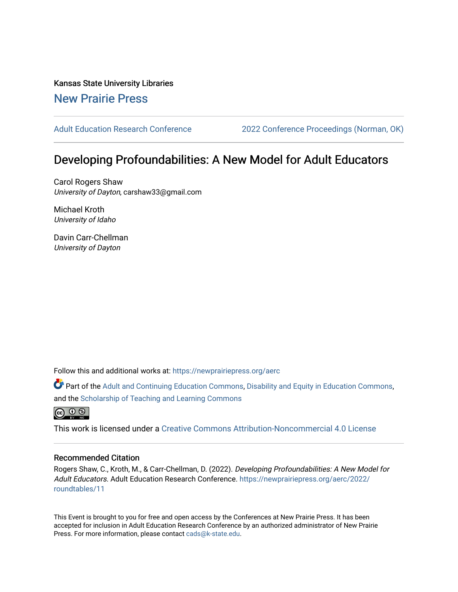Kansas State University Libraries [New Prairie Press](https://newprairiepress.org/) 

[Adult Education Research Conference](https://newprairiepress.org/aerc) [2022 Conference Proceedings \(Norman, OK\)](https://newprairiepress.org/aerc/2022) 

# Developing Profoundabilities: A New Model for Adult Educators

Carol Rogers Shaw University of Dayton, carshaw33@gmail.com

Michael Kroth University of Idaho

Davin Carr-Chellman University of Dayton

Follow this and additional works at: [https://newprairiepress.org/aerc](https://newprairiepress.org/aerc?utm_source=newprairiepress.org%2Faerc%2F2022%2Froundtables%2F11&utm_medium=PDF&utm_campaign=PDFCoverPages)

Part of the [Adult and Continuing Education Commons,](https://network.bepress.com/hgg/discipline/1375?utm_source=newprairiepress.org%2Faerc%2F2022%2Froundtables%2F11&utm_medium=PDF&utm_campaign=PDFCoverPages) [Disability and Equity in Education Commons](https://network.bepress.com/hgg/discipline/1040?utm_source=newprairiepress.org%2Faerc%2F2022%2Froundtables%2F11&utm_medium=PDF&utm_campaign=PDFCoverPages), and the [Scholarship of Teaching and Learning Commons](https://network.bepress.com/hgg/discipline/1328?utm_source=newprairiepress.org%2Faerc%2F2022%2Froundtables%2F11&utm_medium=PDF&utm_campaign=PDFCoverPages)



This work is licensed under a [Creative Commons Attribution-Noncommercial 4.0 License](https://creativecommons.org/licenses/by-nc/4.0/)

## Recommended Citation

Rogers Shaw, C., Kroth, M., & Carr-Chellman, D. (2022). Developing Profoundabilities: A New Model for Adult Educators. Adult Education Research Conference. [https://newprairiepress.org/aerc/2022/](https://newprairiepress.org/aerc/2022/roundtables/11) [roundtables/11](https://newprairiepress.org/aerc/2022/roundtables/11)

This Event is brought to you for free and open access by the Conferences at New Prairie Press. It has been accepted for inclusion in Adult Education Research Conference by an authorized administrator of New Prairie Press. For more information, please contact [cads@k-state.edu.](mailto:cads@k-state.edu)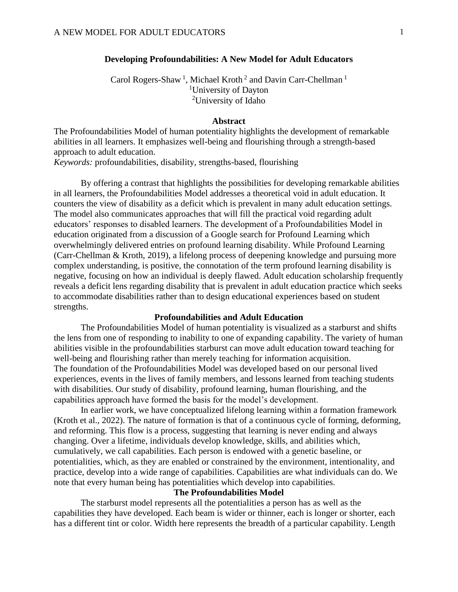## **Developing Profoundabilities: A New Model for Adult Educators**

Carol Rogers-Shaw<sup>1</sup>, Michael Kroth<sup>2</sup> and Davin Carr-Chellman<sup>1</sup> <sup>1</sup>University of Dayton <sup>2</sup>University of Idaho

### **Abstract**

The Profoundabilities Model of human potentiality highlights the development of remarkable abilities in all learners. It emphasizes well-being and flourishing through a strength-based approach to adult education.

*Keywords:* profoundabilities, disability, strengths-based, flourishing

By offering a contrast that highlights the possibilities for developing remarkable abilities in all learners, the Profoundabilities Model addresses a theoretical void in adult education. It counters the view of disability as a deficit which is prevalent in many adult education settings. The model also communicates approaches that will fill the practical void regarding adult educators' responses to disabled learners. The development of a Profoundabilities Model in education originated from a discussion of a Google search for Profound Learning which overwhelmingly delivered entries on profound learning disability. While Profound Learning (Carr-Chellman & Kroth, 2019), a lifelong process of deepening knowledge and pursuing more complex understanding, is positive, the connotation of the term profound learning disability is negative, focusing on how an individual is deeply flawed. Adult education scholarship frequently reveals a deficit lens regarding disability that is prevalent in adult education practice which seeks to accommodate disabilities rather than to design educational experiences based on student strengths.

## **Profoundabilities and Adult Education**

The Profoundabilities Model of human potentiality is visualized as a starburst and shifts the lens from one of responding to inability to one of expanding capability. The variety of human abilities visible in the profoundabilities starburst can move adult education toward teaching for well-being and flourishing rather than merely teaching for information acquisition. The foundation of the Profoundabilities Model was developed based on our personal lived experiences, events in the lives of family members, and lessons learned from teaching students with disabilities. Our study of disability, profound learning, human flourishing, and the capabilities approach have formed the basis for the model's development.

In earlier work, we have conceptualized lifelong learning within a formation framework (Kroth et al., 2022). The nature of formation is that of a continuous cycle of forming, deforming, and reforming. This flow is a process, suggesting that learning is never ending and always changing. Over a lifetime, individuals develop knowledge, skills, and abilities which, cumulatively, we call capabilities. Each person is endowed with a genetic baseline, or potentialities, which, as they are enabled or constrained by the environment, intentionality, and practice, develop into a wide range of capabilities. Capabilities are what individuals can do. We note that every human being has potentialities which develop into capabilities.

### **The Profoundabilities Model**

The starburst model represents all the potentialities a person has as well as the capabilities they have developed. Each beam is wider or thinner, each is longer or shorter, each has a different tint or color. Width here represents the breadth of a particular capability. Length